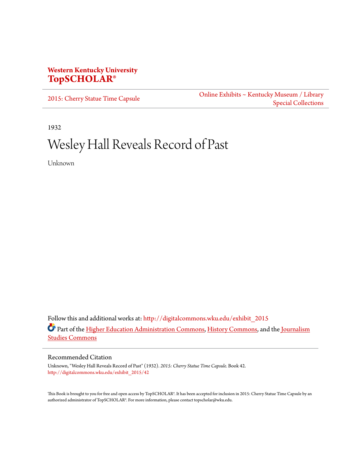## **Western Kentucky University [TopSCHOLAR®](http://digitalcommons.wku.edu?utm_source=digitalcommons.wku.edu%2Fexhibit_2015%2F42&utm_medium=PDF&utm_campaign=PDFCoverPages)**

[2015: Cherry Statue Time Capsule](http://digitalcommons.wku.edu/exhibit_2015?utm_source=digitalcommons.wku.edu%2Fexhibit_2015%2F42&utm_medium=PDF&utm_campaign=PDFCoverPages) [Online Exhibits ~ Kentucky Museum / Library](http://digitalcommons.wku.edu/kmlsc_exhibits?utm_source=digitalcommons.wku.edu%2Fexhibit_2015%2F42&utm_medium=PDF&utm_campaign=PDFCoverPages) [Special Collections](http://digitalcommons.wku.edu/kmlsc_exhibits?utm_source=digitalcommons.wku.edu%2Fexhibit_2015%2F42&utm_medium=PDF&utm_campaign=PDFCoverPages)

1932

## Wesley Hall Reveals Record of Past

Unknown

Follow this and additional works at: [http://digitalcommons.wku.edu/exhibit\\_2015](http://digitalcommons.wku.edu/exhibit_2015?utm_source=digitalcommons.wku.edu%2Fexhibit_2015%2F42&utm_medium=PDF&utm_campaign=PDFCoverPages) Part of the [Higher Education Administration Commons](http://network.bepress.com/hgg/discipline/791?utm_source=digitalcommons.wku.edu%2Fexhibit_2015%2F42&utm_medium=PDF&utm_campaign=PDFCoverPages), [History Commons](http://network.bepress.com/hgg/discipline/489?utm_source=digitalcommons.wku.edu%2Fexhibit_2015%2F42&utm_medium=PDF&utm_campaign=PDFCoverPages), and the [Journalism](http://network.bepress.com/hgg/discipline/333?utm_source=digitalcommons.wku.edu%2Fexhibit_2015%2F42&utm_medium=PDF&utm_campaign=PDFCoverPages) [Studies Commons](http://network.bepress.com/hgg/discipline/333?utm_source=digitalcommons.wku.edu%2Fexhibit_2015%2F42&utm_medium=PDF&utm_campaign=PDFCoverPages)

Recommended Citation

Unknown, "Wesley Hall Reveals Record of Past" (1932). *2015: Cherry Statue Time Capsule.* Book 42. [http://digitalcommons.wku.edu/exhibit\\_2015/42](http://digitalcommons.wku.edu/exhibit_2015/42?utm_source=digitalcommons.wku.edu%2Fexhibit_2015%2F42&utm_medium=PDF&utm_campaign=PDFCoverPages)

This Book is brought to you for free and open access by TopSCHOLAR®. It has been accepted for inclusion in 2015: Cherry Statue Time Capsule by an authorized administrator of TopSCHOLAR®. For more information, please contact topscholar@wku.edu.